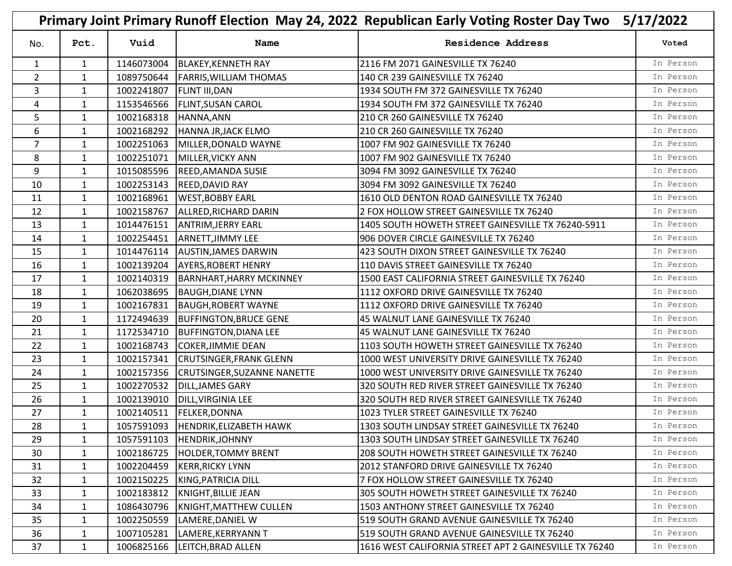| Primary Joint Primary Runoff Election May 24, 2022 Republican Early Voting Roster Day Two<br>5/17/2022 |              |            |                                 |                                                        |           |
|--------------------------------------------------------------------------------------------------------|--------------|------------|---------------------------------|--------------------------------------------------------|-----------|
| No.                                                                                                    | Pct.         | Vuid       | Name                            | <b>Residence Address</b>                               | Voted     |
| 1                                                                                                      | 1            | 1146073004 | <b>BLAKEY, KENNETH RAY</b>      | 2116 FM 2071 GAINESVILLE TX 76240                      | In Person |
| $\overline{2}$                                                                                         | 1            | 1089750644 | <b>FARRIS, WILLIAM THOMAS</b>   | 140 CR 239 GAINESVILLE TX 76240                        | In Person |
| 3                                                                                                      | $\mathbf{1}$ | 1002241807 | <b>FLINT III, DAN</b>           | 1934 SOUTH FM 372 GAINESVILLE TX 76240                 | In Person |
| 4                                                                                                      | 1            | 1153546566 | <b>FLINT, SUSAN CAROL</b>       | 1934 SOUTH FM 372 GAINESVILLE TX 76240                 | In Person |
| 5                                                                                                      | $\mathbf{1}$ | 1002168318 | HANNA, ANN                      | 210 CR 260 GAINESVILLE TX 76240                        | In Person |
| 6                                                                                                      | $\mathbf{1}$ | 1002168292 | HANNA JR, JACK ELMO             | 210 CR 260 GAINESVILLE TX 76240                        | In Person |
| 7                                                                                                      | 1            | 1002251063 | MILLER, DONALD WAYNE            | 1007 FM 902 GAINESVILLE TX 76240                       | In Person |
| 8                                                                                                      | $\mathbf{1}$ | 1002251071 | MILLER, VICKY ANN               | 1007 FM 902 GAINESVILLE TX 76240                       | In Person |
| 9                                                                                                      | 1            | 1015085596 | <b>REED, AMANDA SUSIE</b>       | 3094 FM 3092 GAINESVILLE TX 76240                      | In Person |
| 10                                                                                                     | $\mathbf{1}$ | 1002253143 | <b>REED, DAVID RAY</b>          | 3094 FM 3092 GAINESVILLE TX 76240                      | In Person |
| 11                                                                                                     | $\mathbf{1}$ | 1002168961 | <b>WEST, BOBBY EARL</b>         | 1610 OLD DENTON ROAD GAINESVILLE TX 76240              | In Person |
| 12                                                                                                     | $\mathbf{1}$ | 1002158767 | ALLRED, RICHARD DARIN           | 2 FOX HOLLOW STREET GAINESVILLE TX 76240               | In Person |
| 13                                                                                                     | $\mathbf{1}$ | 1014476151 | <b>ANTRIM, JERRY EARL</b>       | 1405 SOUTH HOWETH STREET GAINESVILLE TX 76240-5911     | In Person |
| 14                                                                                                     | 1            | 1002254451 | ARNETT, JIMMY LEE               | 906 DOVER CIRCLE GAINESVILLE TX 76240                  | In Person |
| 15                                                                                                     | $\mathbf{1}$ | 1014476114 | <b>AUSTIN, JAMES DARWIN</b>     | 423 SOUTH DIXON STREET GAINESVILLE TX 76240            | In Person |
| 16                                                                                                     | $\mathbf{1}$ | 1002139204 | <b>AYERS, ROBERT HENRY</b>      | 110 DAVIS STREET GAINESVILLE TX 76240                  | In Person |
| 17                                                                                                     | $\mathbf{1}$ | 1002140319 | <b>BARNHART, HARRY MCKINNEY</b> | 1500 EAST CALIFORNIA STREET GAINESVILLE TX 76240       | In Person |
| 18                                                                                                     | $\mathbf{1}$ | 1062038695 | <b>BAUGH, DIANE LYNN</b>        | 1112 OXFORD DRIVE GAINESVILLE TX 76240                 | In Person |
| 19                                                                                                     | 1            | 1002167831 | <b>BAUGH, ROBERT WAYNE</b>      | 1112 OXFORD DRIVE GAINESVILLE TX 76240                 | In Person |
| 20                                                                                                     | $\mathbf{1}$ | 1172494639 | <b>BUFFINGTON, BRUCE GENE</b>   | 45 WALNUT LANE GAINESVILLE TX 76240                    | In Person |
| 21                                                                                                     | 1            | 1172534710 | <b>BUFFINGTON, DIANA LEE</b>    | 45 WALNUT LANE GAINESVILLE TX 76240                    | In Person |
| 22                                                                                                     | $\mathbf{1}$ | 1002168743 | <b>COKER, JIMMIE DEAN</b>       | 1103 SOUTH HOWETH STREET GAINESVILLE TX 76240          | In Person |
| 23                                                                                                     | 1            | 1002157341 | <b>CRUTSINGER, FRANK GLENN</b>  | 1000 WEST UNIVERSITY DRIVE GAINESVILLE TX 76240        | In Person |
| 24                                                                                                     | $\mathbf{1}$ | 1002157356 | CRUTSINGER, SUZANNE NANETTE     | 1000 WEST UNIVERSITY DRIVE GAINESVILLE TX 76240        | In Person |
| 25                                                                                                     | $\mathbf{1}$ | 1002270532 | DILL, JAMES GARY                | 320 SOUTH RED RIVER STREET GAINESVILLE TX 76240        | In Person |
| 26                                                                                                     | 1            | 1002139010 | <b>DILL, VIRGINIA LEE</b>       | 320 SOUTH RED RIVER STREET GAINESVILLE TX 76240        | In Person |
| 27                                                                                                     | $\mathbf{1}$ | 1002140511 | FELKER, DONNA                   | 1023 TYLER STREET GAINESVILLE TX 76240                 | In Person |
| 28                                                                                                     | 1            | 1057591093 | HENDRIK, ELIZABETH HAWK         | 1303 SOUTH LINDSAY STREET GAINESVILLE TX 76240         | In Person |
| 29                                                                                                     | $\mathbf{1}$ | 1057591103 | HENDRIK, JOHNNY                 | 1303 SOUTH LINDSAY STREET GAINESVILLE TX 76240         | In Person |
| 30                                                                                                     | $\mathbf{1}$ | 1002186725 | <b>HOLDER, TOMMY BRENT</b>      | 208 SOUTH HOWETH STREET GAINESVILLE TX 76240           | In Person |
| 31                                                                                                     | $\mathbf{1}$ | 1002204459 | <b>KERR, RICKY LYNN</b>         | 2012 STANFORD DRIVE GAINESVILLE TX 76240               | In Person |
| 32                                                                                                     | $\mathbf{1}$ | 1002150225 | KING, PATRICIA DILL             | 7 FOX HOLLOW STREET GAINESVILLE TX 76240               | In Person |
| 33                                                                                                     | 1            | 1002183812 | KNIGHT,BILLIE JEAN              | 305 SOUTH HOWETH STREET GAINESVILLE TX 76240           | In Person |
| 34                                                                                                     | $\mathbf{1}$ | 1086430796 | KNIGHT, MATTHEW CULLEN          | 1503 ANTHONY STREET GAINESVILLE TX 76240               | In Person |
| 35                                                                                                     | $\mathbf{1}$ | 1002250559 | LAMERE, DANIEL W                | 519 SOUTH GRAND AVENUE GAINESVILLE TX 76240            | In Person |
| 36                                                                                                     | $\mathbf{1}$ | 1007105281 | LAMERE, KERRYANN T              | 519 SOUTH GRAND AVENUE GAINESVILLE TX 76240            | In Person |
| 37                                                                                                     | $\mathbf{1}$ | 1006825166 | LEITCH, BRAD ALLEN              | 1616 WEST CALIFORNIA STREET APT 2 GAINESVILLE TX 76240 | In Person |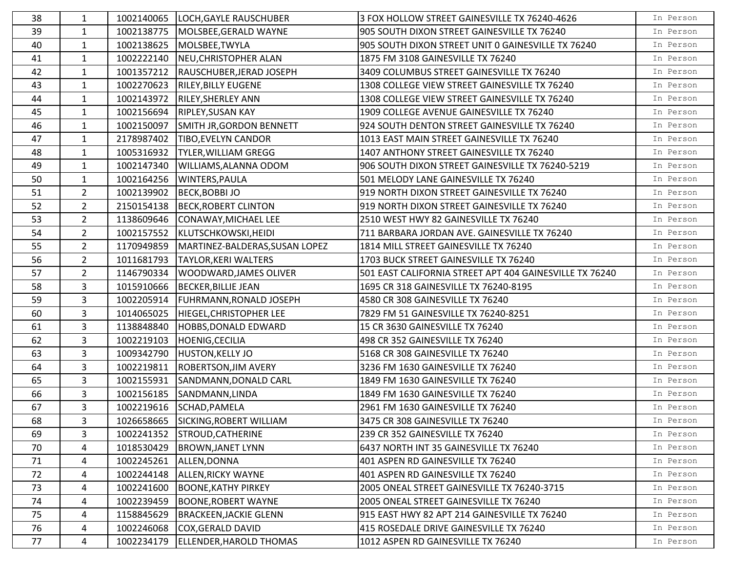| 38 | 1              | 1002140065 | LOCH, GAYLE RAUSCHUBER             | 3 FOX HOLLOW STREET GAINESVILLE TX 76240-4626           | In Person |
|----|----------------|------------|------------------------------------|---------------------------------------------------------|-----------|
| 39 | $\mathbf{1}$   | 1002138775 | MOLSBEE, GERALD WAYNE              | 905 SOUTH DIXON STREET GAINESVILLE TX 76240             | In Person |
| 40 | $\mathbf{1}$   | 1002138625 | MOLSBEE, TWYLA                     | 905 SOUTH DIXON STREET UNIT 0 GAINESVILLE TX 76240      | In Person |
| 41 | $\mathbf{1}$   | 1002222140 | NEU, CHRISTOPHER ALAN              | 1875 FM 3108 GAINESVILLE TX 76240                       | In Person |
| 42 | $\mathbf{1}$   | 1001357212 | RAUSCHUBER, JERAD JOSEPH           | 3409 COLUMBUS STREET GAINESVILLE TX 76240               | In Person |
| 43 | $\mathbf{1}$   | 1002270623 | <b>RILEY, BILLY EUGENE</b>         | 1308 COLLEGE VIEW STREET GAINESVILLE TX 76240           | In Person |
| 44 | $\mathbf{1}$   | 1002143972 | <b>RILEY, SHERLEY ANN</b>          | 1308 COLLEGE VIEW STREET GAINESVILLE TX 76240           | In Person |
| 45 | $\mathbf{1}$   | 1002156694 | <b>RIPLEY, SUSAN KAY</b>           | 1909 COLLEGE AVENUE GAINESVILLE TX 76240                | In Person |
| 46 | $\mathbf{1}$   | 1002150097 | SMITH JR, GORDON BENNETT           | 924 SOUTH DENTON STREET GAINESVILLE TX 76240            | In Person |
| 47 | $\mathbf{1}$   | 2178987402 | <b>TIBO, EVELYN CANDOR</b>         | 1013 EAST MAIN STREET GAINESVILLE TX 76240              | In Person |
| 48 | $\mathbf{1}$   | 1005316932 | <b>TYLER, WILLIAM GREGG</b>        | 1407 ANTHONY STREET GAINESVILLE TX 76240                | In Person |
| 49 | $\mathbf{1}$   | 1002147340 | WILLIAMS, ALANNA ODOM              | 906 SOUTH DIXON STREET GAINESVILLE TX 76240-5219        | In Person |
| 50 | $\mathbf{1}$   | 1002164256 | <b>WINTERS, PAULA</b>              | 501 MELODY LANE GAINESVILLE TX 76240                    | In Person |
| 51 | $2^{\circ}$    | 1002139902 | <b>BECK, BOBBI JO</b>              | 919 NORTH DIXON STREET GAINESVILLE TX 76240             | In Person |
| 52 | 2 <sup>1</sup> | 2150154138 | <b>BECK, ROBERT CLINTON</b>        | 919 NORTH DIXON STREET GAINESVILLE TX 76240             | In Person |
| 53 | 2 <sup>1</sup> | 1138609646 | CONAWAY, MICHAEL LEE               | 2510 WEST HWY 82 GAINESVILLE TX 76240                   | In Person |
| 54 | $2^{\circ}$    | 1002157552 | KLUTSCHKOWSKI, HEIDI               | 711 BARBARA JORDAN AVE. GAINESVILLE TX 76240            | In Person |
| 55 | 2 <sup>7</sup> | 1170949859 | MARTINEZ-BALDERAS, SUSAN LOPEZ     | 1814 MILL STREET GAINESVILLE TX 76240                   | In Person |
| 56 | $2^{\circ}$    | 1011681793 | <b>TAYLOR, KERI WALTERS</b>        | 1703 BUCK STREET GAINESVILLE TX 76240                   | In Person |
| 57 | 2 <sup>1</sup> | 1146790334 | <b>WOODWARD, JAMES OLIVER</b>      | 501 EAST CALIFORNIA STREET APT 404 GAINESVILLE TX 76240 | In Person |
| 58 | $\overline{3}$ | 1015910666 | <b>BECKER, BILLIE JEAN</b>         | 1695 CR 318 GAINESVILLE TX 76240-8195                   | In Person |
| 59 | $\overline{3}$ | 1002205914 | <b>FUHRMANN, RONALD JOSEPH</b>     | 4580 CR 308 GAINESVILLE TX 76240                        | In Person |
| 60 | 3              | 1014065025 | HIEGEL, CHRISTOPHER LEE            | 7829 FM 51 GAINESVILLE TX 76240-8251                    | In Person |
| 61 | 3              | 1138848840 | HOBBS, DONALD EDWARD               | 15 CR 3630 GAINESVILLE TX 76240                         | In Person |
| 62 | 3              | 1002219103 | HOENIG, CECILIA                    | 498 CR 352 GAINESVILLE TX 76240                         | In Person |
| 63 | $\overline{3}$ | 1009342790 | <b>HUSTON, KELLY JO</b>            | 5168 CR 308 GAINESVILLE TX 76240                        | In Person |
| 64 | 3              | 1002219811 | <b>ROBERTSON, JIM AVERY</b>        | 3236 FM 1630 GAINESVILLE TX 76240                       | In Person |
| 65 | $\overline{3}$ | 1002155931 | SANDMANN, DONALD CARL              | 1849 FM 1630 GAINESVILLE TX 76240                       | In Person |
| 66 | 3              | 1002156185 | SANDMANN, LINDA                    | 1849 FM 1630 GAINESVILLE TX 76240                       | In Person |
| 67 | $\mathbf{3}$   | 1002219616 | SCHAD, PAMELA                      | 2961 FM 1630 GAINESVILLE TX 76240                       | In Person |
| 68 | 3              |            | 1026658665 SICKING, ROBERT WILLIAM | 3475 CR 308 GAINESVILLE TX 76240                        | In Person |
| 69 | 3              | 1002241352 | STROUD, CATHERINE                  | 239 CR 352 GAINESVILLE TX 76240                         | In Person |
| 70 | 4              | 1018530429 | <b>BROWN, JANET LYNN</b>           | 6437 NORTH INT 35 GAINESVILLE TX 76240                  | In Person |
| 71 | 4              | 1002245261 | ALLEN, DONNA                       | 401 ASPEN RD GAINESVILLE TX 76240                       | In Person |
| 72 | 4              | 1002244148 | <b>ALLEN, RICKY WAYNE</b>          | 401 ASPEN RD GAINESVILLE TX 76240                       | In Person |
| 73 | 4              | 1002241600 | <b>BOONE, KATHY PIRKEY</b>         | 2005 ONEAL STREET GAINESVILLE TX 76240-3715             | In Person |
| 74 | 4              | 1002239459 | <b>BOONE, ROBERT WAYNE</b>         | 2005 ONEAL STREET GAINESVILLE TX 76240                  | In Person |
| 75 | 4              | 1158845629 | <b>BRACKEEN, JACKIE GLENN</b>      | 915 EAST HWY 82 APT 214 GAINESVILLE TX 76240            | In Person |
| 76 | 4              | 1002246068 | COX, GERALD DAVID                  | 415 ROSEDALE DRIVE GAINESVILLE TX 76240                 | In Person |
| 77 | 4              | 1002234179 | ELLENDER, HAROLD THOMAS            | 1012 ASPEN RD GAINESVILLE TX 76240                      | In Person |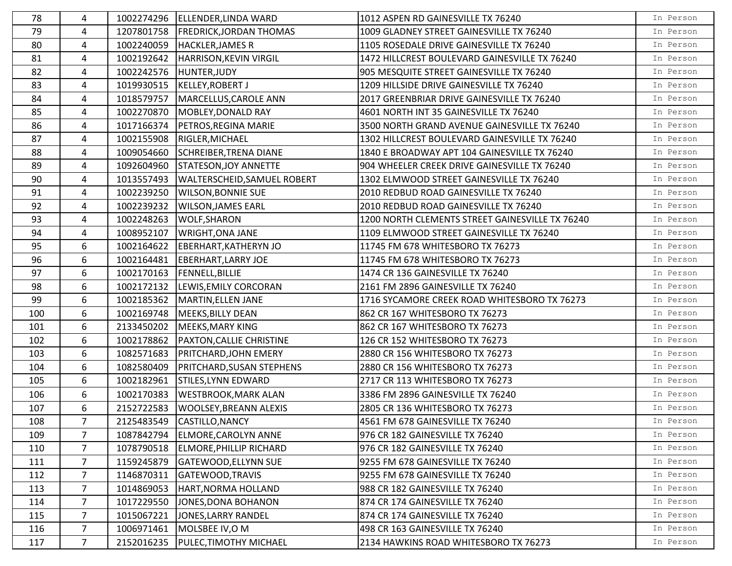| 78  | 4              |            | 1002274296   ELLENDER, LINDA WARD    | 1012 ASPEN RD GAINESVILLE TX 76240              | In Person |
|-----|----------------|------------|--------------------------------------|-------------------------------------------------|-----------|
| 79  | 4              |            | 1207801758   FREDRICK, JORDAN THOMAS | 1009 GLADNEY STREET GAINESVILLE TX 76240        | In Person |
| 80  | 4              | 1002240059 | <b>HACKLER, JAMES R</b>              | 1105 ROSEDALE DRIVE GAINESVILLE TX 76240        | In Person |
| 81  | 4              | 1002192642 | <b>HARRISON, KEVIN VIRGIL</b>        | 1472 HILLCREST BOULEVARD GAINESVILLE TX 76240   | In Person |
| 82  | 4              |            | 1002242576 HUNTER, JUDY              | 905 MESQUITE STREET GAINESVILLE TX 76240        | In Person |
| 83  | 4              | 1019930515 | KELLEY, ROBERT J                     | 1209 HILLSIDE DRIVE GAINESVILLE TX 76240        | In Person |
| 84  | 4              | 1018579757 | MARCELLUS, CAROLE ANN                | 2017 GREENBRIAR DRIVE GAINESVILLE TX 76240      | In Person |
| 85  | 4              | 1002270870 | MOBLEY, DONALD RAY                   | 4601 NORTH INT 35 GAINESVILLE TX 76240          | In Person |
| 86  | 4              | 1017166374 | PETROS, REGINA MARIE                 | 3500 NORTH GRAND AVENUE GAINESVILLE TX 76240    | In Person |
| 87  | 4              | 1002155908 | RIGLER, MICHAEL                      | 1302 HILLCREST BOULEVARD GAINESVILLE TX 76240   | In Person |
| 88  | 4              | 1009054660 | <b>SCHREIBER, TRENA DIANE</b>        | 1840 E BROADWAY APT 104 GAINESVILLE TX 76240    | In Person |
| 89  | 4              | 1092604960 | STATESON, JOY ANNETTE                | 904 WHEELER CREEK DRIVE GAINESVILLE TX 76240    | In Person |
| 90  | 4              | 1013557493 | <b>WALTERSCHEID, SAMUEL ROBERT</b>   | 1302 ELMWOOD STREET GAINESVILLE TX 76240        | In Person |
| 91  | 4              | 1002239250 | <b>WILSON, BONNIE SUE</b>            | 2010 REDBUD ROAD GAINESVILLE TX 76240           | In Person |
| 92  | 4              | 1002239232 | <b>WILSON, JAMES EARL</b>            | 2010 REDBUD ROAD GAINESVILLE TX 76240           | In Person |
| 93  | 4              | 1002248263 | <b>WOLF, SHARON</b>                  | 1200 NORTH CLEMENTS STREET GAINESVILLE TX 76240 | In Person |
| 94  | 4              | 1008952107 | <b>WRIGHT, ONA JANE</b>              | 1109 ELMWOOD STREET GAINESVILLE TX 76240        | In Person |
| 95  | 6              | 1002164622 | <b>EBERHART, KATHERYN JO</b>         | 11745 FM 678 WHITESBORO TX 76273                | In Person |
| 96  | 6              | 1002164481 | <b>EBERHART, LARRY JOE</b>           | 11745 FM 678 WHITESBORO TX 76273                | In Person |
| 97  | 6              | 1002170163 | <b>FENNELL, BILLIE</b>               | 1474 CR 136 GAINESVILLE TX 76240                | In Person |
| 98  | 6              | 1002172132 | LEWIS, EMILY CORCORAN                | 2161 FM 2896 GAINESVILLE TX 76240               | In Person |
| 99  | 6              | 1002185362 | MARTIN, ELLEN JANE                   | 1716 SYCAMORE CREEK ROAD WHITESBORO TX 76273    | In Person |
| 100 | 6              | 1002169748 | MEEKS, BILLY DEAN                    | 862 CR 167 WHITESBORO TX 76273                  | In Person |
| 101 | 6              | 2133450202 | MEEKS, MARY KING                     | 862 CR 167 WHITESBORO TX 76273                  | In Person |
| 102 | 6              | 1002178862 | PAXTON, CALLIE CHRISTINE             | 126 CR 152 WHITESBORO TX 76273                  | In Person |
| 103 | 6              | 1082571683 | PRITCHARD, JOHN EMERY                | 2880 CR 156 WHITESBORO TX 76273                 | In Person |
| 104 | 6              | 1082580409 | PRITCHARD, SUSAN STEPHENS            | 2880 CR 156 WHITESBORO TX 76273                 | In Person |
| 105 | 6              | 1002182961 | STILES, LYNN EDWARD                  | 2717 CR 113 WHITESBORO TX 76273                 | In Person |
| 106 | 6              | 1002170383 | <b>WESTBROOK, MARK ALAN</b>          | 3386 FM 2896 GAINESVILLE TX 76240               | In Person |
| 107 | 6              | 2152722583 | <b>WOOLSEY, BREANN ALEXIS</b>        | 2805 CR 136 WHITESBORO TX 76273                 | In Person |
| 108 | $\overline{7}$ |            | 2125483549 CASTILLO, NANCY           | 4561 FM 678 GAINESVILLE TX 76240                | In Person |
| 109 | $\overline{7}$ | 1087842794 | <b>ELMORE, CAROLYN ANNE</b>          | 976 CR 182 GAINESVILLE TX 76240                 | In Person |
| 110 | 7              | 1078790518 | <b>ELMORE, PHILLIP RICHARD</b>       | 976 CR 182 GAINESVILLE TX 76240                 | In Person |
| 111 | 7              | 1159245879 | <b>GATEWOOD, ELLYNN SUE</b>          | 9255 FM 678 GAINESVILLE TX 76240                | In Person |
| 112 | $\overline{7}$ | 1146870311 | GATEWOOD, TRAVIS                     | 9255 FM 678 GAINESVILLE TX 76240                | In Person |
| 113 | $\overline{7}$ | 1014869053 | HART, NORMA HOLLAND                  | 988 CR 182 GAINESVILLE TX 76240                 | In Person |
| 114 | $\overline{7}$ | 1017229550 | JONES, DONA BOHANON                  | 874 CR 174 GAINESVILLE TX 76240                 | In Person |
| 115 | $\overline{7}$ | 1015067221 | JONES, LARRY RANDEL                  | 874 CR 174 GAINESVILLE TX 76240                 | In Person |
| 116 | 7              | 1006971461 | MOLSBEE IV, OM                       | 498 CR 163 GAINESVILLE TX 76240                 | In Person |
| 117 | $\overline{7}$ | 2152016235 | PULEC, TIMOTHY MICHAEL               | 2134 HAWKINS ROAD WHITESBORO TX 76273           | In Person |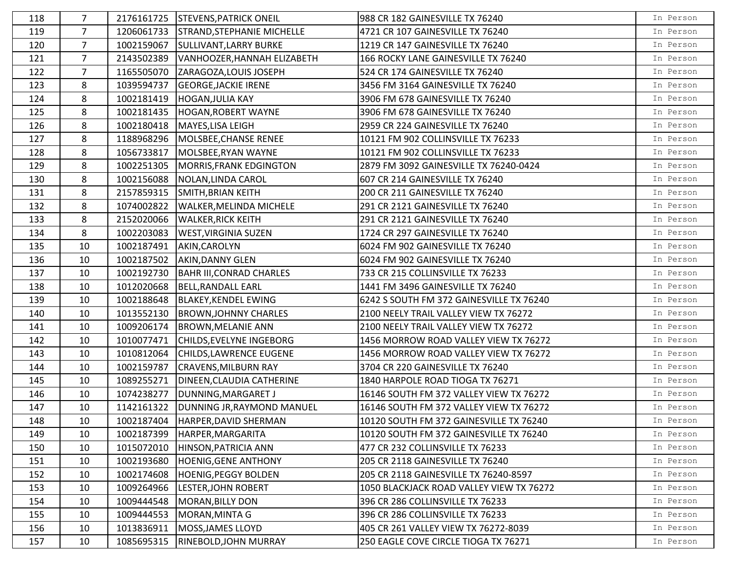| 118 | 7              | 2176161725 | <b>STEVENS, PATRICK ONEIL</b>      | 988 CR 182 GAINESVILLE TX 76240          | In Person |
|-----|----------------|------------|------------------------------------|------------------------------------------|-----------|
| 119 | $\overline{7}$ | 1206061733 | <b>STRAND, STEPHANIE MICHELLE</b>  | 4721 CR 107 GAINESVILLE TX 76240         | In Person |
| 120 | 7              | 1002159067 | <b>SULLIVANT, LARRY BURKE</b>      | 1219 CR 147 GAINESVILLE TX 76240         | In Person |
| 121 | $\overline{7}$ | 2143502389 | VANHOOZER, HANNAH ELIZABETH        | 166 ROCKY LANE GAINESVILLE TX 76240      | In Person |
| 122 | $\overline{7}$ | 1165505070 | ZARAGOZA, LOUIS JOSEPH             | 524 CR 174 GAINESVILLE TX 76240          | In Person |
| 123 | 8              | 1039594737 | <b>GEORGE, JACKIE IRENE</b>        | 3456 FM 3164 GAINESVILLE TX 76240        | In Person |
| 124 | 8              | 1002181419 | <b>HOGAN, JULIA KAY</b>            | 3906 FM 678 GAINESVILLE TX 76240         | In Person |
| 125 | 8              | 1002181435 | <b>HOGAN, ROBERT WAYNE</b>         | 3906 FM 678 GAINESVILLE TX 76240         | In Person |
| 126 | 8              | 1002180418 | MAYES, LISA LEIGH                  | 2959 CR 224 GAINESVILLE TX 76240         | In Person |
| 127 | 8              | 1188968296 | MOLSBEE, CHANSE RENEE              | 10121 FM 902 COLLINSVILLE TX 76233       | In Person |
| 128 | 8              | 1056733817 | MOLSBEE, RYAN WAYNE                | 10121 FM 902 COLLINSVILLE TX 76233       | In Person |
| 129 | 8              | 1002251305 | MORRIS, FRANK EDGINGTON            | 2879 FM 3092 GAINESVILLE TX 76240-0424   | In Person |
| 130 | 8              | 1002156088 | NOLAN, LINDA CAROL                 | 607 CR 214 GAINESVILLE TX 76240          | In Person |
| 131 | 8              | 2157859315 | <b>SMITH, BRIAN KEITH</b>          | 200 CR 211 GAINESVILLE TX 76240          | In Person |
| 132 | 8              | 1074002822 | WALKER, MELINDA MICHELE            | 291 CR 2121 GAINESVILLE TX 76240         | In Person |
| 133 | 8              | 2152020066 | <b>WALKER, RICK KEITH</b>          | 291 CR 2121 GAINESVILLE TX 76240         | In Person |
| 134 | 8              | 1002203083 | <b>WEST, VIRGINIA SUZEN</b>        | 1724 CR 297 GAINESVILLE TX 76240         | In Person |
| 135 | 10             | 1002187491 | AKIN, CAROLYN                      | 6024 FM 902 GAINESVILLE TX 76240         | In Person |
| 136 | 10             | 1002187502 | AKIN, DANNY GLEN                   | 6024 FM 902 GAINESVILLE TX 76240         | In Person |
| 137 | 10             | 1002192730 | <b>BAHR III, CONRAD CHARLES</b>    | 733 CR 215 COLLINSVILLE TX 76233         | In Person |
| 138 | 10             | 1012020668 | <b>BELL, RANDALL EARL</b>          | 1441 FM 3496 GAINESVILLE TX 76240        | In Person |
| 139 | 10             | 1002188648 | <b>BLAKEY, KENDEL EWING</b>        | 6242 S SOUTH FM 372 GAINESVILLE TX 76240 | In Person |
| 140 | 10             | 1013552130 | <b>BROWN, JOHNNY CHARLES</b>       | 2100 NEELY TRAIL VALLEY VIEW TX 76272    | In Person |
| 141 | 10             | 1009206174 | <b>BROWN, MELANIE ANN</b>          | 2100 NEELY TRAIL VALLEY VIEW TX 76272    | In Person |
| 142 | 10             | 1010077471 | CHILDS, EVELYNE INGEBORG           | 1456 MORROW ROAD VALLEY VIEW TX 76272    | In Person |
| 143 | 10             | 1010812064 | CHILDS, LAWRENCE EUGENE            | 1456 MORROW ROAD VALLEY VIEW TX 76272    | In Person |
| 144 | 10             | 1002159787 | <b>CRAVENS, MILBURN RAY</b>        | 3704 CR 220 GAINESVILLE TX 76240         | In Person |
| 145 | 10             | 1089255271 | DINEEN, CLAUDIA CATHERINE          | 1840 HARPOLE ROAD TIOGA TX 76271         | In Person |
| 146 | 10             | 1074238277 | DUNNING, MARGARET J                | 16146 SOUTH FM 372 VALLEY VIEW TX 76272  | In Person |
| 147 | 10             | 1142161322 | DUNNING JR, RAYMOND MANUEL         | 16146 SOUTH FM 372 VALLEY VIEW TX 76272  | In Person |
| 148 | 10             |            | 1002187404   HARPER, DAVID SHERMAN | 10120 SOUTH FM 372 GAINESVILLE TX 76240  | In Person |
| 149 | 10             | 1002187399 | HARPER, MARGARITA                  | 10120 SOUTH FM 372 GAINESVILLE TX 76240  | In Person |
| 150 | 10             | 1015072010 | HINSON, PATRICIA ANN               | 477 CR 232 COLLINSVILLE TX 76233         | In Person |
| 151 | 10             | 1002193680 | <b>HOENIG, GENE ANTHONY</b>        | 205 CR 2118 GAINESVILLE TX 76240         | In Person |
| 152 | 10             | 1002174608 | <b>HOENIG, PEGGY BOLDEN</b>        | 205 CR 2118 GAINESVILLE TX 76240-8597    | In Person |
| 153 | 10             | 1009264966 | LESTER, JOHN ROBERT                | 1050 BLACKJACK ROAD VALLEY VIEW TX 76272 | In Person |
| 154 | 10             | 1009444548 | MORAN, BILLY DON                   | 396 CR 286 COLLINSVILLE TX 76233         | In Person |
| 155 | 10             | 1009444553 | MORAN, MINTA G                     | 396 CR 286 COLLINSVILLE TX 76233         | In Person |
| 156 | 10             | 1013836911 | MOSS, JAMES LLOYD                  | 405 CR 261 VALLEY VIEW TX 76272-8039     | In Person |
| 157 | 10             | 1085695315 | RINEBOLD, JOHN MURRAY              | 250 EAGLE COVE CIRCLE TIOGA TX 76271     | In Person |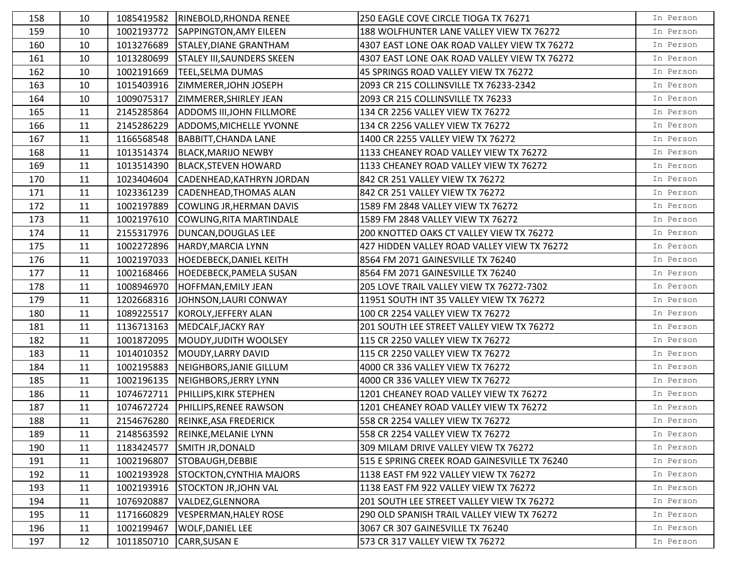| 158 | 10 | 1085419582 | RINEBOLD, RHONDA RENEE            | 250 EAGLE COVE CIRCLE TIOGA TX 76271         | In Person |
|-----|----|------------|-----------------------------------|----------------------------------------------|-----------|
| 159 | 10 | 1002193772 | SAPPINGTON, AMY EILEEN            | 188 WOLFHUNTER LANE VALLEY VIEW TX 76272     | In Person |
| 160 | 10 | 1013276689 | STALEY, DIANE GRANTHAM            | 4307 EAST LONE OAK ROAD VALLEY VIEW TX 76272 | In Person |
| 161 | 10 | 1013280699 | <b>STALEY III, SAUNDERS SKEEN</b> | 4307 EAST LONE OAK ROAD VALLEY VIEW TX 76272 | In Person |
| 162 | 10 | 1002191669 | <b>TEEL, SELMA DUMAS</b>          | 45 SPRINGS ROAD VALLEY VIEW TX 76272         | In Person |
| 163 | 10 | 1015403916 | ZIMMERER, JOHN JOSEPH             | 2093 CR 215 COLLINSVILLE TX 76233-2342       | In Person |
| 164 | 10 | 1009075317 | ZIMMERER, SHIRLEY JEAN            | 2093 CR 215 COLLINSVILLE TX 76233            | In Person |
| 165 | 11 | 2145285864 | ADDOMS III, JOHN FILLMORE         | 134 CR 2256 VALLEY VIEW TX 76272             | In Person |
| 166 | 11 | 2145286229 | <b>ADDOMS, MICHELLE YVONNE</b>    | 134 CR 2256 VALLEY VIEW TX 76272             | In Person |
| 167 | 11 | 1166568548 | <b>BABBITT, CHANDA LANE</b>       | 1400 CR 2255 VALLEY VIEW TX 76272            | In Person |
| 168 | 11 | 1013514374 | <b>BLACK, MARIJO NEWBY</b>        | 1133 CHEANEY ROAD VALLEY VIEW TX 76272       | In Person |
| 169 | 11 | 1013514390 | <b>BLACK, STEVEN HOWARD</b>       | 1133 CHEANEY ROAD VALLEY VIEW TX 76272       | In Person |
| 170 | 11 | 1023404604 | CADENHEAD, KATHRYN JORDAN         | 842 CR 251 VALLEY VIEW TX 76272              | In Person |
| 171 | 11 | 1023361239 | <b>CADENHEAD, THOMAS ALAN</b>     | 842 CR 251 VALLEY VIEW TX 76272              | In Person |
| 172 | 11 | 1002197889 | COWLING JR, HERMAN DAVIS          | 1589 FM 2848 VALLEY VIEW TX 76272            | In Person |
| 173 | 11 | 1002197610 | COWLING, RITA MARTINDALE          | 1589 FM 2848 VALLEY VIEW TX 76272            | In Person |
| 174 | 11 | 2155317976 | DUNCAN, DOUGLAS LEE               | 200 KNOTTED OAKS CT VALLEY VIEW TX 76272     | In Person |
| 175 | 11 | 1002272896 | HARDY, MARCIA LYNN                | 427 HIDDEN VALLEY ROAD VALLEY VIEW TX 76272  | In Person |
| 176 | 11 | 1002197033 | <b>HOEDEBECK, DANIEL KEITH</b>    | 8564 FM 2071 GAINESVILLE TX 76240            | In Person |
| 177 | 11 | 1002168466 | <b>HOEDEBECK, PAMELA SUSAN</b>    | 8564 FM 2071 GAINESVILLE TX 76240            | In Person |
| 178 | 11 | 1008946970 | <b>HOFFMAN, EMILY JEAN</b>        | 205 LOVE TRAIL VALLEY VIEW TX 76272-7302     | In Person |
| 179 | 11 | 1202668316 | JOHNSON, LAURI CONWAY             | 11951 SOUTH INT 35 VALLEY VIEW TX 76272      | In Person |
| 180 | 11 | 1089225517 | KOROLY, JEFFERY ALAN              | 100 CR 2254 VALLEY VIEW TX 76272             | In Person |
| 181 | 11 | 1136713163 | MEDCALF, JACKY RAY                | 201 SOUTH LEE STREET VALLEY VIEW TX 76272    | In Person |
| 182 | 11 | 1001872095 | MOUDY, JUDITH WOOLSEY             | 115 CR 2250 VALLEY VIEW TX 76272             | In Person |
| 183 | 11 | 1014010352 | MOUDY, LARRY DAVID                | 115 CR 2250 VALLEY VIEW TX 76272             | In Person |
| 184 | 11 | 1002195883 | NEIGHBORS, JANIE GILLUM           | 4000 CR 336 VALLEY VIEW TX 76272             | In Person |
| 185 | 11 | 1002196135 | NEIGHBORS, JERRY LYNN             | 4000 CR 336 VALLEY VIEW TX 76272             | In Person |
| 186 | 11 | 1074672711 | PHILLIPS, KIRK STEPHEN            | 1201 CHEANEY ROAD VALLEY VIEW TX 76272       | In Person |
| 187 | 11 | 1074672724 | PHILLIPS, RENEE RAWSON            | 1201 CHEANEY ROAD VALLEY VIEW TX 76272       | In Person |
| 188 | 11 |            | 2154676280 REINKE, ASA FREDERICK  | 558 CR 2254 VALLEY VIEW TX 76272             | In Person |
| 189 | 11 | 2148563592 | <b>REINKE, MELANIE LYNN</b>       | 558 CR 2254 VALLEY VIEW TX 76272             | In Person |
| 190 | 11 | 1183424577 | <b>SMITH JR, DONALD</b>           | 309 MILAM DRIVE VALLEY VIEW TX 76272         | In Person |
| 191 | 11 | 1002196807 | STOBAUGH, DEBBIE                  | 515 E SPRING CREEK ROAD GAINESVILLE TX 76240 | In Person |
| 192 | 11 | 1002193928 | <b>STOCKTON, CYNTHIA MAJORS</b>   | 1138 EAST FM 922 VALLEY VIEW TX 76272        | In Person |
| 193 | 11 | 1002193916 | <b>STOCKTON JR, JOHN VAL</b>      | 1138 EAST FM 922 VALLEY VIEW TX 76272        | In Person |
| 194 | 11 | 1076920887 | VALDEZ, GLENNORA                  | 201 SOUTH LEE STREET VALLEY VIEW TX 76272    | In Person |
| 195 | 11 | 1171660829 | <b>VESPERMAN, HALEY ROSE</b>      | 290 OLD SPANISH TRAIL VALLEY VIEW TX 76272   | In Person |
| 196 | 11 | 1002199467 | <b>WOLF, DANIEL LEE</b>           | 3067 CR 307 GAINESVILLE TX 76240             | In Person |
| 197 | 12 | 1011850710 | <b>CARR, SUSAN E</b>              | 573 CR 317 VALLEY VIEW TX 76272              | In Person |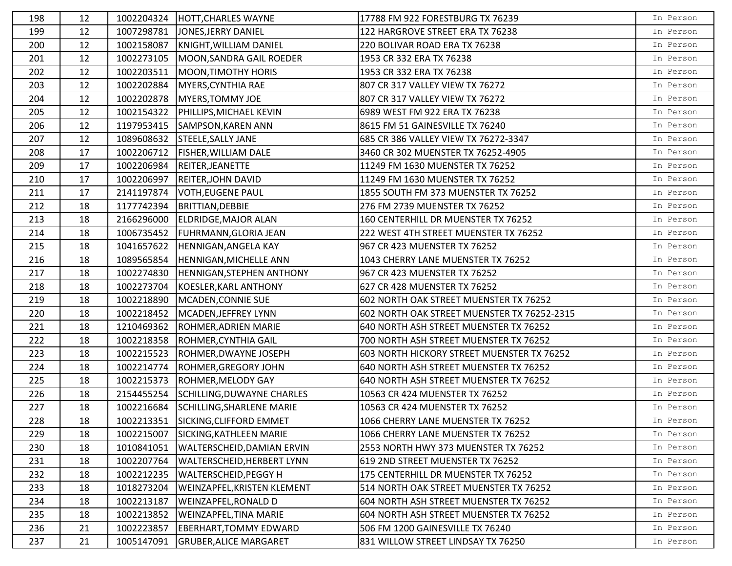| 198 | 12 | 1002204324 | <b>HOTT, CHARLES WAYNE</b>         | 17788 FM 922 FORESTBURG TX 76239            | In Person |
|-----|----|------------|------------------------------------|---------------------------------------------|-----------|
| 199 | 12 | 1007298781 | JONES, JERRY DANIEL                | 122 HARGROVE STREET ERA TX 76238            | In Person |
| 200 | 12 | 1002158087 | KNIGHT, WILLIAM DANIEL             | 220 BOLIVAR ROAD ERA TX 76238               | In Person |
| 201 | 12 | 1002273105 | MOON, SANDRA GAIL ROEDER           | 1953 CR 332 ERA TX 76238                    | In Person |
| 202 | 12 | 1002203511 | <b>MOON, TIMOTHY HORIS</b>         | 1953 CR 332 ERA TX 76238                    | In Person |
| 203 | 12 | 1002202884 | MYERS, CYNTHIA RAE                 | 807 CR 317 VALLEY VIEW TX 76272             | In Person |
| 204 | 12 | 1002202878 | <b>MYERS, TOMMY JOE</b>            | 807 CR 317 VALLEY VIEW TX 76272             | In Person |
| 205 | 12 | 1002154322 | PHILLIPS, MICHAEL KEVIN            | 6989 WEST FM 922 ERA TX 76238               | In Person |
| 206 | 12 | 1197953415 | <b>SAMPSON, KAREN ANN</b>          | 8615 FM 51 GAINESVILLE TX 76240             | In Person |
| 207 | 12 | 1089608632 | <b>STEELE, SALLY JANE</b>          | 685 CR 386 VALLEY VIEW TX 76272-3347        | In Person |
| 208 | 17 | 1002206712 | <b>FISHER, WILLIAM DALE</b>        | 3460 CR 302 MUENSTER TX 76252-4905          | In Person |
| 209 | 17 | 1002206984 | REITER, JEANETTE                   | 11249 FM 1630 MUENSTER TX 76252             | In Person |
| 210 | 17 | 1002206997 | <b>REITER, JOHN DAVID</b>          | 11249 FM 1630 MUENSTER TX 76252             | In Person |
| 211 | 17 | 2141197874 | <b>VOTH, EUGENE PAUL</b>           | 1855 SOUTH FM 373 MUENSTER TX 76252         | In Person |
| 212 | 18 | 1177742394 | <b>BRITTIAN, DEBBIE</b>            | 276 FM 2739 MUENSTER TX 76252               | In Person |
| 213 | 18 | 2166296000 | ELDRIDGE, MAJOR ALAN               | 160 CENTERHILL DR MUENSTER TX 76252         | In Person |
| 214 | 18 | 1006735452 | FUHRMANN, GLORIA JEAN              | 222 WEST 4TH STREET MUENSTER TX 76252       | In Person |
| 215 | 18 | 1041657622 | HENNIGAN, ANGELA KAY               | 967 CR 423 MUENSTER TX 76252                | In Person |
| 216 | 18 | 1089565854 | <b>HENNIGAN, MICHELLE ANN</b>      | 1043 CHERRY LANE MUENSTER TX 76252          | In Person |
| 217 | 18 | 1002274830 | <b>HENNIGAN, STEPHEN ANTHONY</b>   | 967 CR 423 MUENSTER TX 76252                | In Person |
| 218 | 18 | 1002273704 | KOESLER, KARL ANTHONY              | 627 CR 428 MUENSTER TX 76252                | In Person |
| 219 | 18 | 1002218890 | MCADEN, CONNIE SUE                 | 602 NORTH OAK STREET MUENSTER TX 76252      | In Person |
| 220 | 18 | 1002218452 | MCADEN, JEFFREY LYNN               | 602 NORTH OAK STREET MUENSTER TX 76252-2315 | In Person |
| 221 | 18 | 1210469362 | <b>ROHMER, ADRIEN MARIE</b>        | 640 NORTH ASH STREET MUENSTER TX 76252      | In Person |
| 222 | 18 | 1002218358 | ROHMER, CYNTHIA GAIL               | 700 NORTH ASH STREET MUENSTER TX 76252      | In Person |
| 223 | 18 | 1002215523 | ROHMER, DWAYNE JOSEPH              | 603 NORTH HICKORY STREET MUENSTER TX 76252  | In Person |
| 224 | 18 | 1002214774 | <b>ROHMER, GREGORY JOHN</b>        | 640 NORTH ASH STREET MUENSTER TX 76252      | In Person |
| 225 | 18 | 1002215373 | <b>ROHMER, MELODY GAY</b>          | 640 NORTH ASH STREET MUENSTER TX 76252      | In Person |
| 226 | 18 | 2154455254 | SCHILLING, DUWAYNE CHARLES         | 10563 CR 424 MUENSTER TX 76252              | In Person |
| 227 | 18 | 1002216684 | SCHILLING, SHARLENE MARIE          | 10563 CR 424 MUENSTER TX 76252              | In Person |
| 228 | 18 |            | 1002213351 SICKING, CLIFFORD EMMET | 1066 CHERRY LANE MUENSTER TX 76252          | In Person |
| 229 | 18 | 1002215007 | SICKING, KATHLEEN MARIE            | 1066 CHERRY LANE MUENSTER TX 76252          | In Person |
| 230 | 18 | 1010841051 | WALTERSCHEID, DAMIAN ERVIN         | 2553 NORTH HWY 373 MUENSTER TX 76252        | In Person |
| 231 | 18 | 1002207764 | <b>WALTERSCHEID, HERBERT LYNN</b>  | 619 2ND STREET MUENSTER TX 76252            | In Person |
| 232 | 18 | 1002212235 | <b>WALTERSCHEID, PEGGY H</b>       | 175 CENTERHILL DR MUENSTER TX 76252         | In Person |
| 233 | 18 | 1018273204 | WEINZAPFEL, KRISTEN KLEMENT        | 514 NORTH OAK STREET MUENSTER TX 76252      | In Person |
| 234 | 18 | 1002213187 | WEINZAPFEL, RONALD D               | 604 NORTH ASH STREET MUENSTER TX 76252      | In Person |
| 235 | 18 | 1002213852 | WEINZAPFEL, TINA MARIE             | 604 NORTH ASH STREET MUENSTER TX 76252      | In Person |
| 236 | 21 | 1002223857 | <b>EBERHART, TOMMY EDWARD</b>      | 506 FM 1200 GAINESVILLE TX 76240            | In Person |
| 237 | 21 | 1005147091 | <b>GRUBER, ALICE MARGARET</b>      | 831 WILLOW STREET LINDSAY TX 76250          | In Person |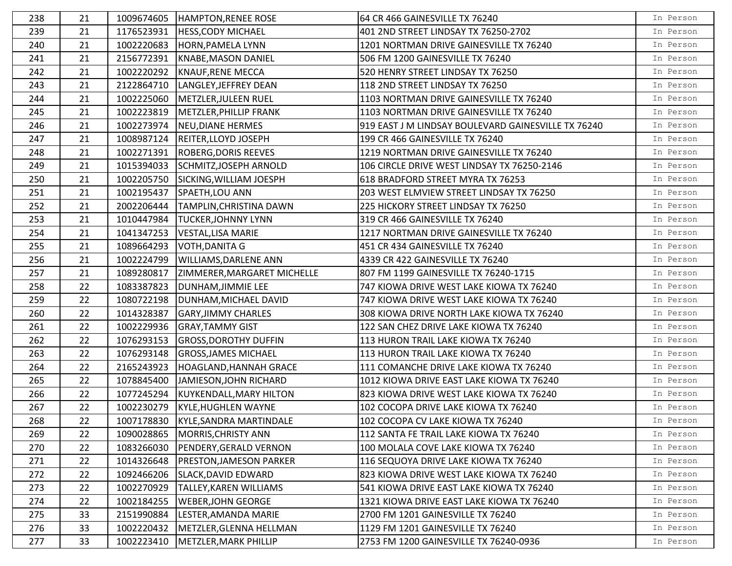| 238 | 21 | 1009674605 | HAMPTON, RENEE ROSE                | 64 CR 466 GAINESVILLE TX 76240                      | In Person |
|-----|----|------------|------------------------------------|-----------------------------------------------------|-----------|
| 239 | 21 | 1176523931 | <b>HESS, CODY MICHAEL</b>          | 401 2ND STREET LINDSAY TX 76250-2702                | In Person |
| 240 | 21 | 1002220683 | <b>HORN, PAMELA LYNN</b>           | 1201 NORTMAN DRIVE GAINESVILLE TX 76240             | In Person |
| 241 | 21 | 2156772391 | KNABE, MASON DANIEL                | 506 FM 1200 GAINESVILLE TX 76240                    | In Person |
| 242 | 21 | 1002220292 | <b>KNAUF, RENE MECCA</b>           | 520 HENRY STREET LINDSAY TX 76250                   | In Person |
| 243 | 21 | 2122864710 | LANGLEY, JEFFREY DEAN              | 118 2ND STREET LINDSAY TX 76250                     | In Person |
| 244 | 21 | 1002225060 | METZLER, JULEEN RUEL               | 1103 NORTMAN DRIVE GAINESVILLE TX 76240             | In Person |
| 245 | 21 | 1002223819 | METZLER, PHILLIP FRANK             | 1103 NORTMAN DRIVE GAINESVILLE TX 76240             | In Person |
| 246 | 21 | 1002273974 | NEU, DIANE HERMES                  | 919 EAST J M LINDSAY BOULEVARD GAINESVILLE TX 76240 | In Person |
| 247 | 21 |            | 1008987124 REITER, LLOYD JOSEPH    | 199 CR 466 GAINESVILLE TX 76240                     | In Person |
| 248 | 21 | 1002271391 | <b>ROBERG, DORIS REEVES</b>        | 1219 NORTMAN DRIVE GAINESVILLE TX 76240             | In Person |
| 249 | 21 | 1015394033 | SCHMITZ, JOSEPH ARNOLD             | 106 CIRCLE DRIVE WEST LINDSAY TX 76250-2146         | In Person |
| 250 | 21 | 1002205750 | SICKING, WILLIAM JOESPH            | 618 BRADFORD STREET MYRA TX 76253                   | In Person |
| 251 | 21 | 1002195437 | SPAETH, LOU ANN                    | 203 WEST ELMVIEW STREET LINDSAY TX 76250            | In Person |
| 252 | 21 | 2002206444 | TAMPLIN, CHRISTINA DAWN            | 225 HICKORY STREET LINDSAY TX 76250                 | In Person |
| 253 | 21 | 1010447984 | <b>TUCKER, JOHNNY LYNN</b>         | 319 CR 466 GAINESVILLE TX 76240                     | In Person |
| 254 | 21 | 1041347253 | <b>VESTAL, LISA MARIE</b>          | 1217 NORTMAN DRIVE GAINESVILLE TX 76240             | In Person |
| 255 | 21 | 1089664293 | VOTH, DANITA G                     | 451 CR 434 GAINESVILLE TX 76240                     | In Person |
| 256 | 21 | 1002224799 | <b>WILLIAMS, DARLENE ANN</b>       | 4339 CR 422 GAINESVILLE TX 76240                    | In Person |
| 257 | 21 | 1089280817 | ZIMMERER, MARGARET MICHELLE        | 807 FM 1199 GAINESVILLE TX 76240-1715               | In Person |
| 258 | 22 | 1083387823 | DUNHAM, JIMMIE LEE                 | 747 KIOWA DRIVE WEST LAKE KIOWA TX 76240            | In Person |
| 259 | 22 | 1080722198 | DUNHAM, MICHAEL DAVID              | 747 KIOWA DRIVE WEST LAKE KIOWA TX 76240            | In Person |
| 260 | 22 | 1014328387 | <b>GARY, JIMMY CHARLES</b>         | 308 KIOWA DRIVE NORTH LAKE KIOWA TX 76240           | In Person |
| 261 | 22 | 1002229936 | <b>GRAY, TAMMY GIST</b>            | 122 SAN CHEZ DRIVE LAKE KIOWA TX 76240              | In Person |
| 262 | 22 | 1076293153 | <b>GROSS, DOROTHY DUFFIN</b>       | 113 HURON TRAIL LAKE KIOWA TX 76240                 | In Person |
| 263 | 22 | 1076293148 | <b>GROSS, JAMES MICHAEL</b>        | 113 HURON TRAIL LAKE KIOWA TX 76240                 | In Person |
| 264 | 22 | 2165243923 | HOAGLAND, HANNAH GRACE             | 111 COMANCHE DRIVE LAKE KIOWA TX 76240              | In Person |
| 265 | 22 | 1078845400 | JAMIESON, JOHN RICHARD             | 1012 KIOWA DRIVE EAST LAKE KIOWA TX 76240           | In Person |
| 266 | 22 | 1077245294 | KUYKENDALL, MARY HILTON            | 823 KIOWA DRIVE WEST LAKE KIOWA TX 76240            | In Person |
| 267 | 22 | 1002230279 | <b>KYLE, HUGHLEN WAYNE</b>         | 102 COCOPA DRIVE LAKE KIOWA TX 76240                | In Person |
| 268 | 22 |            | 1007178830 KYLE, SANDRA MARTINDALE | 102 COCOPA CV LAKE KIOWA TX 76240                   | In Person |
| 269 | 22 | 1090028865 | MORRIS, CHRISTY ANN                | 112 SANTA FE TRAIL LAKE KIOWA TX 76240              | In Person |
| 270 | 22 | 1083266030 | PENDERY, GERALD VERNON             | 100 MOLALA COVE LAKE KIOWA TX 76240                 | In Person |
| 271 | 22 | 1014326648 | <b>PRESTON, JAMESON PARKER</b>     | 116 SEQUOYA DRIVE LAKE KIOWA TX 76240               | In Person |
| 272 | 22 | 1092466206 | <b>SLACK, DAVID EDWARD</b>         | 823 KIOWA DRIVE WEST LAKE KIOWA TX 76240            | In Person |
| 273 | 22 | 1002270929 | TALLEY, KAREN WILLIAMS             | 541 KIOWA DRIVE EAST LAKE KIOWA TX 76240            | In Person |
| 274 | 22 | 1002184255 | <b>WEBER, JOHN GEORGE</b>          | 1321 KIOWA DRIVE EAST LAKE KIOWA TX 76240           | In Person |
| 275 | 33 | 2151990884 | LESTER, AMANDA MARIE               | 2700 FM 1201 GAINESVILLE TX 76240                   | In Person |
| 276 | 33 | 1002220432 | METZLER, GLENNA HELLMAN            | 1129 FM 1201 GAINESVILLE TX 76240                   | In Person |
| 277 | 33 | 1002223410 | METZLER, MARK PHILLIP              | 2753 FM 1200 GAINESVILLE TX 76240-0936              | In Person |